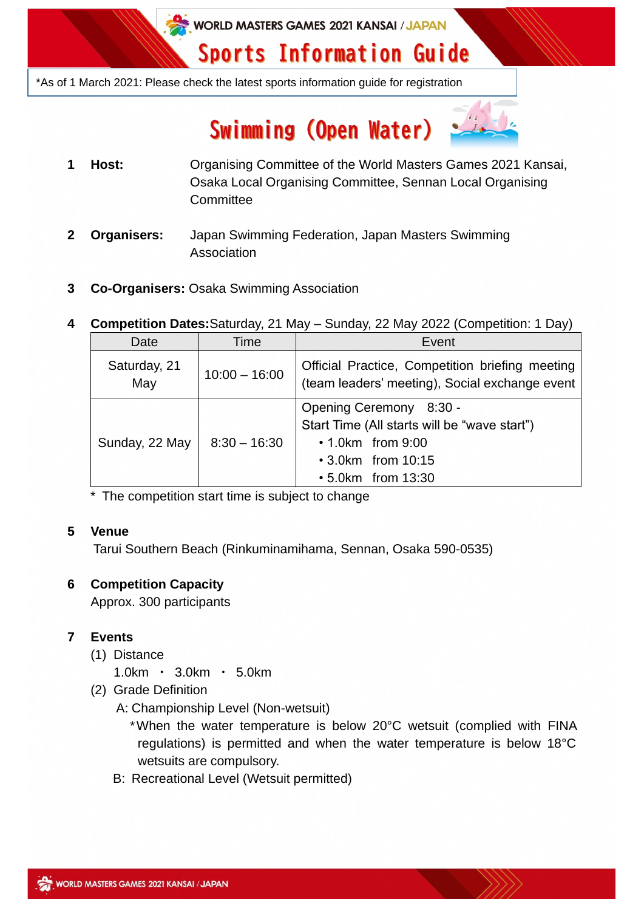WORLD MASTERS GAMES 2021 KANSAI / JAPAN

# **Sports Information Guide**

\*As of 1 March 2021: Please check the latest sports information guide for registration

# Swimming (Open Water)



- **1 Host:** Organising Committee of the World Masters Games 2021 Kansai, Osaka Local Organising Committee, Sennan Local Organising **Committee**
- **2 Organisers:** Japan Swimming Federation, Japan Masters Swimming Association
- **3 Co-Organisers:** Osaka Swimming Association
- **4 Competition Dates:**Saturday, 21 May Sunday, 22 May 2022 (Competition: 1 Day)

| Date                | Time            | Event                                                                                                                                           |
|---------------------|-----------------|-------------------------------------------------------------------------------------------------------------------------------------------------|
| Saturday, 21<br>May | $10:00 - 16:00$ | Official Practice, Competition briefing meeting<br>(team leaders' meeting), Social exchange event                                               |
| Sunday, 22 May      | $8:30 - 16:30$  | Opening Ceremony 8:30 -<br>Start Time (All starts will be "wave start")<br>$\cdot$ 1.0 km from 9:00<br>• 3.0km from 10:15<br>• 5.0km from 13:30 |

\* The competition start time is subject to change

# **5 Venue**

Tarui Southern Beach (Rinkuminamihama, Sennan, Osaka 590-0535)

# **6 Competition Capacity**

Approx. 300 participants

# **7 Events**

- (1) Distance
	- 1.0km ・ 3.0km ・ 5.0km
- (2) Grade Definition
	- A: Championship Level (Non-wetsuit)
		- \*When the water temperature is below 20°C wetsuit (complied with FINA regulations) is permitted and when the water temperature is below 18°C wetsuits are compulsory.
	- B: Recreational Level (Wetsuit permitted)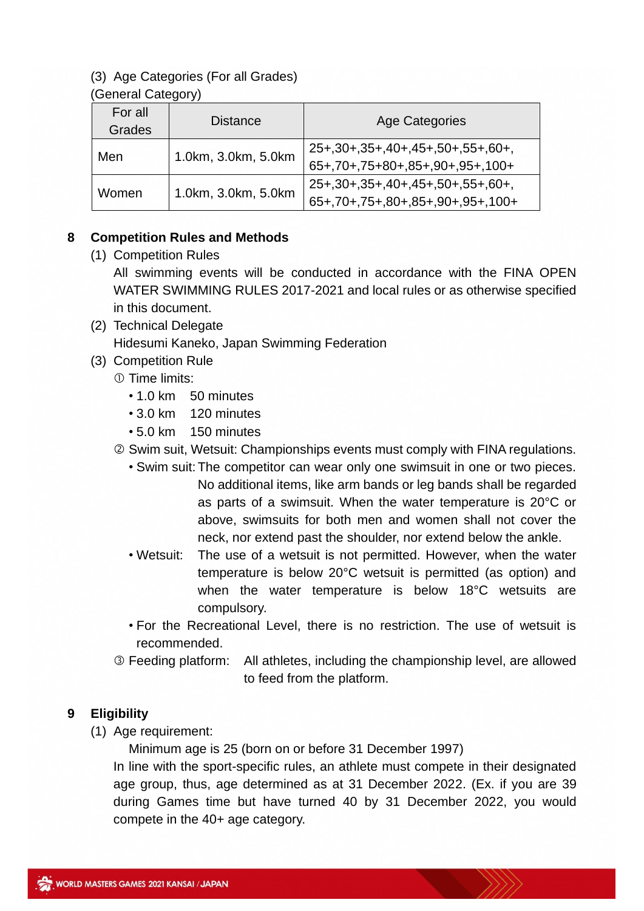## (3) Age Categories (For all Grades)

#### (General Category)

| For all<br>Grades | <b>Distance</b>     | <b>Age Categories</b>                                                       |
|-------------------|---------------------|-----------------------------------------------------------------------------|
| Men               | 1.0km, 3.0km, 5.0km | 25+, 30+, 35+, 40+, 45+, 50+, 55+, 60+,<br>65+,70+,75+80+,85+,90+,95+,100+  |
| Women             | 1.0km, 3.0km, 5.0km | 25+, 30+, 35+, 40+, 45+, 50+, 55+, 60+,<br>65+,70+,75+,80+,85+,90+,95+,100+ |

### **8 Competition Rules and Methods**

(1) Competition Rules

All swimming events will be conducted in accordance with the FINA OPEN WATER SWIMMING RULES 2017-2021 and local rules or as otherwise specified in this document.

- (2) Technical Delegate Hidesumi Kaneko, Japan Swimming Federation
- (3) Competition Rule
	- Time limits:
		- 1.0 km 50 minutes
		- 3.0 km 120 minutes
		- 5.0 km 150 minutes
	- Swim suit, Wetsuit: Championships events must comply with FINA regulations.
		- Swim suit: The competitor can wear only one swimsuit in one or two pieces. No additional items, like arm bands or leg bands shall be regarded as parts of a swimsuit. When the water temperature is 20°C or above, swimsuits for both men and women shall not cover the neck, nor extend past the shoulder, nor extend below the ankle.
		- Wetsuit: The use of a wetsuit is not permitted. However, when the water temperature is below 20°C wetsuit is permitted (as option) and when the water temperature is below 18°C wetsuits are compulsory.
		- For the Recreational Level, there is no restriction. The use of wetsuit is recommended.
	- Feeding platform: All athletes, including the championship level, are allowed to feed from the platform.

#### **9 Eligibility**

(1) Age requirement:

Minimum age is 25 (born on or before 31 December 1997)

In line with the sport-specific rules, an athlete must compete in their designated age group, thus, age determined as at 31 December 2022. (Ex. if you are 39 during Games time but have turned 40 by 31 December 2022, you would compete in the 40+ age category.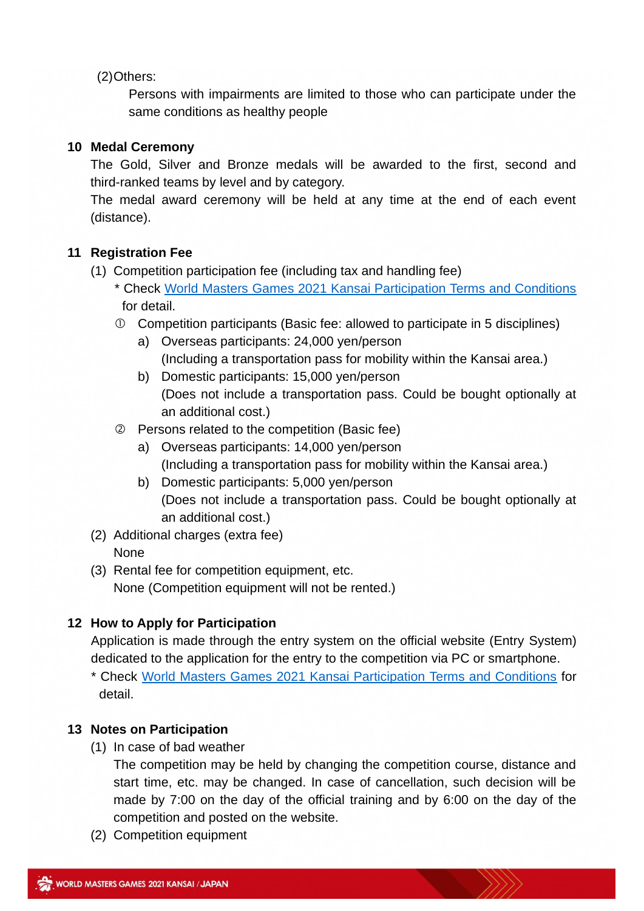(2)Others:

Persons with impairments are limited to those who can participate under the same conditions as healthy people

#### **10 Medal Ceremony**

The Gold, Silver and Bronze medals will be awarded to the first, second and third-ranked teams by level and by category.

The medal award ceremony will be held at any time at the end of each event (distance).

#### **11 Registration Fee**

- (1) Competition participation fee (including tax and handling fee)
	- \* Check [World Masters Games 2021 Kansai Participation Terms and Conditions](https://www.wmg2021.jp/en/games/guideline.html) for detail.
	- Competition participants (Basic fee: allowed to participate in 5 disciplines)
		- a) Overseas participants: 24,000 yen/person (Including a transportation pass for mobility within the Kansai area.)
		- b) Domestic participants: 15,000 yen/person (Does not include a transportation pass. Could be bought optionally at an additional cost.)
	- Persons related to the competition (Basic fee)
		- a) Overseas participants: 14,000 yen/person (Including a transportation pass for mobility within the Kansai area.)
		- b) Domestic participants: 5,000 yen/person (Does not include a transportation pass. Could be bought optionally at an additional cost.)
- (2) Additional charges (extra fee) **None**
- (3) Rental fee for competition equipment, etc. None (Competition equipment will not be rented.)

#### **12 How to Apply for Participation**

Application is made through the entry system on the official website (Entry System) dedicated to the application for the entry to the competition via PC or smartphone.

\* Check [World Masters Games 2021 Kansai Participation Terms and Conditions](https://www.wmg2021.jp/en/games/guideline.html) for detail.

#### **13 Notes on Participation**

(1) In case of bad weather

The competition may be held by changing the competition course, distance and start time, etc. may be changed. In case of cancellation, such decision will be made by 7:00 on the day of the official training and by 6:00 on the day of the competition and posted on the website.

(2) Competition equipment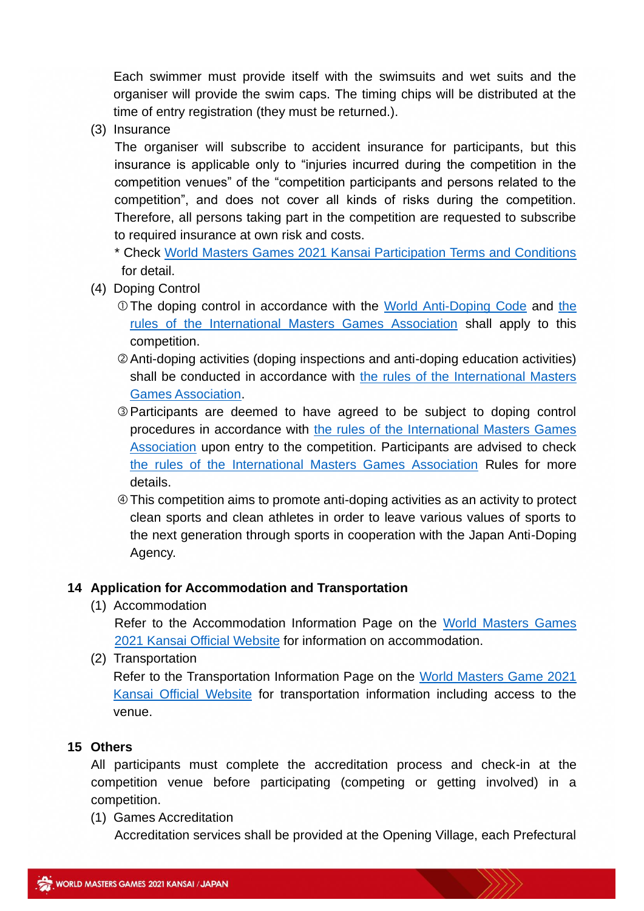Each swimmer must provide itself with the swimsuits and wet suits and the organiser will provide the swim caps. The timing chips will be distributed at the time of entry registration (they must be returned.).

(3) Insurance

The organiser will subscribe to accident insurance for participants, but this insurance is applicable only to "injuries incurred during the competition in the competition venues" of the "competition participants and persons related to the competition", and does not cover all kinds of risks during the competition. Therefore, all persons taking part in the competition are requested to subscribe to required insurance at own risk and costs.

\* Check [World Masters Games 2021 Kansai Participation Terms and Conditions](https://www.wmg2021.jp/en/games/guideline.html) for detail.

- (4) Doping Control
	- The doping control in accordance with the [World Anti-Doping Code](https://www.playtruejapan.org/entry_img/wada_code_2021_jp_20201218.pdf) and [the](https://d3tfdru9q5sbcz.cloudfront.net/2021/06/2021-IMGA-ADR.pdf)  [rules of the International Masters Games Association](https://d3tfdru9q5sbcz.cloudfront.net/2021/06/2021-IMGA-ADR.pdf) shall apply to this competition.
	- Anti-doping activities (doping inspections and anti-doping education activities) shall be conducted in accordance with [the rules of the International Masters](https://d3tfdru9q5sbcz.cloudfront.net/2021/06/2021-IMGA-ADR.pdf)  [Games Association.](https://d3tfdru9q5sbcz.cloudfront.net/2021/06/2021-IMGA-ADR.pdf)
	- Participants are deemed to have agreed to be subject to doping control procedures in accordance with [the rules of the International Masters Games](https://d3tfdru9q5sbcz.cloudfront.net/2021/06/2021-IMGA-ADR.pdf)  [Association](https://d3tfdru9q5sbcz.cloudfront.net/2021/06/2021-IMGA-ADR.pdf) upon entry to the competition. Participants are advised to check [the rules of the International Masters Games Association](https://d3tfdru9q5sbcz.cloudfront.net/2021/06/2021-IMGA-ADR.pdf) Rules for more details.
	- This competition aims to promote anti-doping activities as an activity to protect clean sports and clean athletes in order to leave various values of sports to the next generation through sports in cooperation with the Japan Anti-Doping Agency.

#### **14 Application for Accommodation and Transportation**

(1) Accommodation

Refer to the Accommodation Information Page on the [World Masters Games](https://www.wmg2021.jp/en/accommodation/index.html) [2021 Kansai Official Website](https://www.wmg2021.jp/en/accommodation/index.html) for information on accommodation.

(2) Transportation

Refer to the Transportation Information Page on the [World Masters Game 2021](https://www.wmg2021.jp/en/games/trafficguide.html)  [Kansai Official Website](https://www.wmg2021.jp/en/games/trafficguide.html) for transportation information including access to the venue.

#### **15 Others**

All participants must complete the accreditation process and check-in at the competition venue before participating (competing or getting involved) in a competition.

(1) Games Accreditation

Accreditation services shall be provided at the Opening Village, each Prefectural